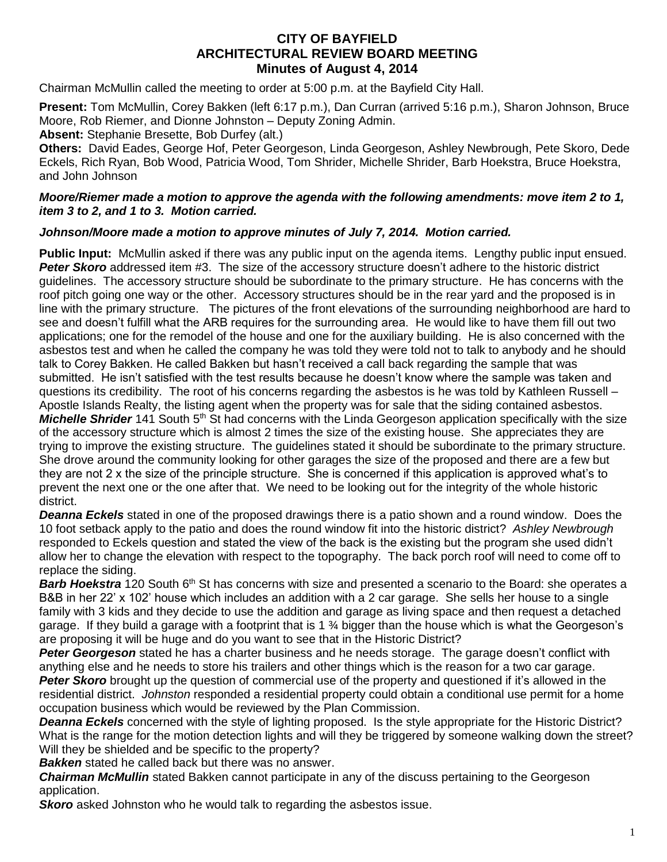## **CITY OF BAYFIELD ARCHITECTURAL REVIEW BOARD MEETING Minutes of August 4, 2014**

Chairman McMullin called the meeting to order at 5:00 p.m. at the Bayfield City Hall.

**Present:** Tom McMullin, Corey Bakken (left 6:17 p.m.), Dan Curran (arrived 5:16 p.m.), Sharon Johnson, Bruce Moore, Rob Riemer, and Dionne Johnston – Deputy Zoning Admin.

**Absent:** Stephanie Bresette, Bob Durfey (alt.)

**Others:** David Eades, George Hof, Peter Georgeson, Linda Georgeson, Ashley Newbrough, Pete Skoro, Dede Eckels, Rich Ryan, Bob Wood, Patricia Wood, Tom Shrider, Michelle Shrider, Barb Hoekstra, Bruce Hoekstra, and John Johnson

## *Moore/Riemer made a motion to approve the agenda with the following amendments: move item 2 to 1, item 3 to 2, and 1 to 3. Motion carried.*

## *Johnson/Moore made a motion to approve minutes of July 7, 2014. Motion carried.*

**Public Input:** McMullin asked if there was any public input on the agenda items. Lengthy public input ensued. **Peter Skoro** addressed item #3. The size of the accessory structure doesn't adhere to the historic district guidelines. The accessory structure should be subordinate to the primary structure. He has concerns with the roof pitch going one way or the other. Accessory structures should be in the rear yard and the proposed is in line with the primary structure. The pictures of the front elevations of the surrounding neighborhood are hard to see and doesn't fulfill what the ARB requires for the surrounding area. He would like to have them fill out two applications; one for the remodel of the house and one for the auxiliary building. He is also concerned with the asbestos test and when he called the company he was told they were told not to talk to anybody and he should talk to Corey Bakken. He called Bakken but hasn't received a call back regarding the sample that was submitted. He isn't satisfied with the test results because he doesn't know where the sample was taken and questions its credibility. The root of his concerns regarding the asbestos is he was told by Kathleen Russell – Apostle Islands Realty, the listing agent when the property was for sale that the siding contained asbestos. *Michelle Shrider* 141 South 5<sup>th</sup> St had concerns with the Linda Georgeson application specifically with the size of the accessory structure which is almost 2 times the size of the existing house. She appreciates they are trying to improve the existing structure. The guidelines stated it should be subordinate to the primary structure. She drove around the community looking for other garages the size of the proposed and there are a few but they are not 2 x the size of the principle structure. She is concerned if this application is approved what's to prevent the next one or the one after that. We need to be looking out for the integrity of the whole historic district.

*Deanna Eckels* stated in one of the proposed drawings there is a patio shown and a round window. Does the 10 foot setback apply to the patio and does the round window fit into the historic district? *Ashley Newbrough* responded to Eckels question and stated the view of the back is the existing but the program she used didn't allow her to change the elevation with respect to the topography. The back porch roof will need to come off to replace the siding.

Barb Hoekstra 120 South 6<sup>th</sup> St has concerns with size and presented a scenario to the Board: she operates a B&B in her 22' x 102' house which includes an addition with a 2 car garage. She sells her house to a single family with 3 kids and they decide to use the addition and garage as living space and then request a detached garage. If they build a garage with a footprint that is 1  $\frac{3}{4}$  bigger than the house which is what the Georgeson's are proposing it will be huge and do you want to see that in the Historic District?

*Peter Georgeson* stated he has a charter business and he needs storage. The garage doesn't conflict with anything else and he needs to store his trailers and other things which is the reason for a two car garage. *Peter Skoro* brought up the question of commercial use of the property and questioned if it's allowed in the residential district. *Johnston* responded a residential property could obtain a conditional use permit for a home occupation business which would be reviewed by the Plan Commission.

*Deanna Eckels* concerned with the style of lighting proposed. Is the style appropriate for the Historic District? What is the range for the motion detection lights and will they be triggered by someone walking down the street? Will they be shielded and be specific to the property?

*Bakken* stated he called back but there was no answer.

*Chairman McMullin* stated Bakken cannot participate in any of the discuss pertaining to the Georgeson application.

*Skoro* asked Johnston who he would talk to regarding the asbestos issue.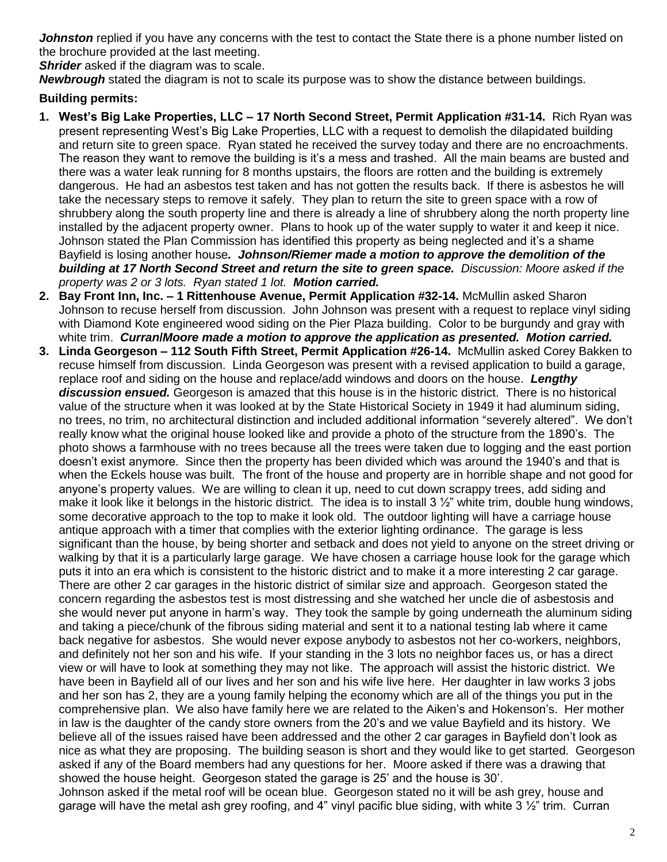*Johnston* replied if you have any concerns with the test to contact the State there is a phone number listed on the brochure provided at the last meeting.

**Shrider** asked if the diagram was to scale.

*Newbrough* stated the diagram is not to scale its purpose was to show the distance between buildings.

## **Building permits:**

- **1. West's Big Lake Properties, LLC – 17 North Second Street, Permit Application #31-14.** Rich Ryan was present representing West's Big Lake Properties, LLC with a request to demolish the dilapidated building and return site to green space. Ryan stated he received the survey today and there are no encroachments. The reason they want to remove the building is it's a mess and trashed. All the main beams are busted and there was a water leak running for 8 months upstairs, the floors are rotten and the building is extremely dangerous. He had an asbestos test taken and has not gotten the results back. If there is asbestos he will take the necessary steps to remove it safely. They plan to return the site to green space with a row of shrubbery along the south property line and there is already a line of shrubbery along the north property line installed by the adjacent property owner. Plans to hook up of the water supply to water it and keep it nice. Johnson stated the Plan Commission has identified this property as being neglected and it's a shame Bayfield is losing another house*. Johnson/Riemer made a motion to approve the demolition of the building at 17 North Second Street and return the site to green space. Discussion: Moore asked if the property was 2 or 3 lots. Ryan stated 1 lot. Motion carried.*
- **2. Bay Front Inn, Inc. – 1 Rittenhouse Avenue, Permit Application #32-14.** McMullin asked Sharon Johnson to recuse herself from discussion. John Johnson was present with a request to replace vinyl siding with Diamond Kote engineered wood siding on the Pier Plaza building. Color to be burgundy and gray with white trim.*Curran***/***Moore made a motion to approve the application as presented. Motion carried.*
- **3. Linda Georgeson – 112 South Fifth Street, Permit Application #26-14.** McMullin asked Corey Bakken to recuse himself from discussion. Linda Georgeson was present with a revised application to build a garage, replace roof and siding on the house and replace/add windows and doors on the house. *Lengthy discussion ensued.* Georgeson is amazed that this house is in the historic district. There is no historical value of the structure when it was looked at by the State Historical Society in 1949 it had aluminum siding, no trees, no trim, no architectural distinction and included additional information "severely altered". We don't really know what the original house looked like and provide a photo of the structure from the 1890's. The photo shows a farmhouse with no trees because all the trees were taken due to logging and the east portion doesn't exist anymore. Since then the property has been divided which was around the 1940's and that is when the Eckels house was built. The front of the house and property are in horrible shape and not good for anyone's property values. We are willing to clean it up, need to cut down scrappy trees, add siding and make it look like it belongs in the historic district. The idea is to install 3 ½" white trim, double hung windows, some decorative approach to the top to make it look old. The outdoor lighting will have a carriage house antique approach with a timer that complies with the exterior lighting ordinance. The garage is less significant than the house, by being shorter and setback and does not yield to anyone on the street driving or walking by that it is a particularly large garage. We have chosen a carriage house look for the garage which puts it into an era which is consistent to the historic district and to make it a more interesting 2 car garage. There are other 2 car garages in the historic district of similar size and approach. Georgeson stated the concern regarding the asbestos test is most distressing and she watched her uncle die of asbestosis and she would never put anyone in harm's way. They took the sample by going underneath the aluminum siding and taking a piece/chunk of the fibrous siding material and sent it to a national testing lab where it came back negative for asbestos. She would never expose anybody to asbestos not her co-workers, neighbors, and definitely not her son and his wife. If your standing in the 3 lots no neighbor faces us, or has a direct view or will have to look at something they may not like. The approach will assist the historic district. We have been in Bayfield all of our lives and her son and his wife live here. Her daughter in law works 3 jobs and her son has 2, they are a young family helping the economy which are all of the things you put in the comprehensive plan. We also have family here we are related to the Aiken's and Hokenson's. Her mother in law is the daughter of the candy store owners from the 20's and we value Bayfield and its history. We believe all of the issues raised have been addressed and the other 2 car garages in Bayfield don't look as nice as what they are proposing. The building season is short and they would like to get started. Georgeson asked if any of the Board members had any questions for her. Moore asked if there was a drawing that showed the house height. Georgeson stated the garage is 25' and the house is 30'.

Johnson asked if the metal roof will be ocean blue. Georgeson stated no it will be ash grey, house and garage will have the metal ash grey roofing, and 4" vinyl pacific blue siding, with white  $3\frac{1}{2}$ " trim. Curran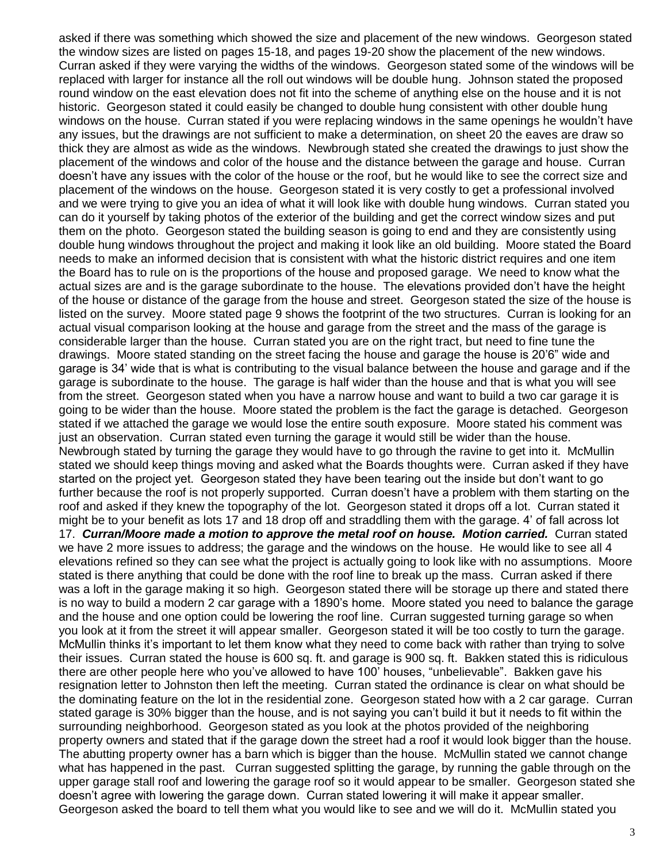asked if there was something which showed the size and placement of the new windows. Georgeson stated the window sizes are listed on pages 15-18, and pages 19-20 show the placement of the new windows. Curran asked if they were varying the widths of the windows. Georgeson stated some of the windows will be replaced with larger for instance all the roll out windows will be double hung. Johnson stated the proposed round window on the east elevation does not fit into the scheme of anything else on the house and it is not historic. Georgeson stated it could easily be changed to double hung consistent with other double hung windows on the house. Curran stated if you were replacing windows in the same openings he wouldn't have any issues, but the drawings are not sufficient to make a determination, on sheet 20 the eaves are draw so thick they are almost as wide as the windows. Newbrough stated she created the drawings to just show the placement of the windows and color of the house and the distance between the garage and house. Curran doesn't have any issues with the color of the house or the roof, but he would like to see the correct size and placement of the windows on the house. Georgeson stated it is very costly to get a professional involved and we were trying to give you an idea of what it will look like with double hung windows. Curran stated you can do it yourself by taking photos of the exterior of the building and get the correct window sizes and put them on the photo. Georgeson stated the building season is going to end and they are consistently using double hung windows throughout the project and making it look like an old building. Moore stated the Board needs to make an informed decision that is consistent with what the historic district requires and one item the Board has to rule on is the proportions of the house and proposed garage. We need to know what the actual sizes are and is the garage subordinate to the house. The elevations provided don't have the height of the house or distance of the garage from the house and street. Georgeson stated the size of the house is listed on the survey. Moore stated page 9 shows the footprint of the two structures. Curran is looking for an actual visual comparison looking at the house and garage from the street and the mass of the garage is considerable larger than the house. Curran stated you are on the right tract, but need to fine tune the drawings. Moore stated standing on the street facing the house and garage the house is 20'6" wide and garage is 34' wide that is what is contributing to the visual balance between the house and garage and if the garage is subordinate to the house. The garage is half wider than the house and that is what you will see from the street. Georgeson stated when you have a narrow house and want to build a two car garage it is going to be wider than the house. Moore stated the problem is the fact the garage is detached. Georgeson stated if we attached the garage we would lose the entire south exposure. Moore stated his comment was just an observation. Curran stated even turning the garage it would still be wider than the house. Newbrough stated by turning the garage they would have to go through the ravine to get into it. McMullin stated we should keep things moving and asked what the Boards thoughts were. Curran asked if they have started on the project yet. Georgeson stated they have been tearing out the inside but don't want to go further because the roof is not properly supported. Curran doesn't have a problem with them starting on the roof and asked if they knew the topography of the lot. Georgeson stated it drops off a lot. Curran stated it might be to your benefit as lots 17 and 18 drop off and straddling them with the garage. 4' of fall across lot 17. *Curran/Moore made a motion to approve the metal roof on house. Motion carried.* Curran stated we have 2 more issues to address; the garage and the windows on the house. He would like to see all 4 elevations refined so they can see what the project is actually going to look like with no assumptions. Moore stated is there anything that could be done with the roof line to break up the mass. Curran asked if there was a loft in the garage making it so high. Georgeson stated there will be storage up there and stated there is no way to build a modern 2 car garage with a 1890's home. Moore stated you need to balance the garage and the house and one option could be lowering the roof line. Curran suggested turning garage so when you look at it from the street it will appear smaller. Georgeson stated it will be too costly to turn the garage. McMullin thinks it's important to let them know what they need to come back with rather than trying to solve their issues. Curran stated the house is 600 sq. ft. and garage is 900 sq. ft. Bakken stated this is ridiculous there are other people here who you've allowed to have 100' houses, "unbelievable". Bakken gave his resignation letter to Johnston then left the meeting. Curran stated the ordinance is clear on what should be the dominating feature on the lot in the residential zone. Georgeson stated how with a 2 car garage. Curran stated garage is 30% bigger than the house, and is not saying you can't build it but it needs to fit within the surrounding neighborhood. Georgeson stated as you look at the photos provided of the neighboring property owners and stated that if the garage down the street had a roof it would look bigger than the house. The abutting property owner has a barn which is bigger than the house. McMullin stated we cannot change what has happened in the past. Curran suggested splitting the garage, by running the gable through on the upper garage stall roof and lowering the garage roof so it would appear to be smaller. Georgeson stated she doesn't agree with lowering the garage down. Curran stated lowering it will make it appear smaller. Georgeson asked the board to tell them what you would like to see and we will do it. McMullin stated you